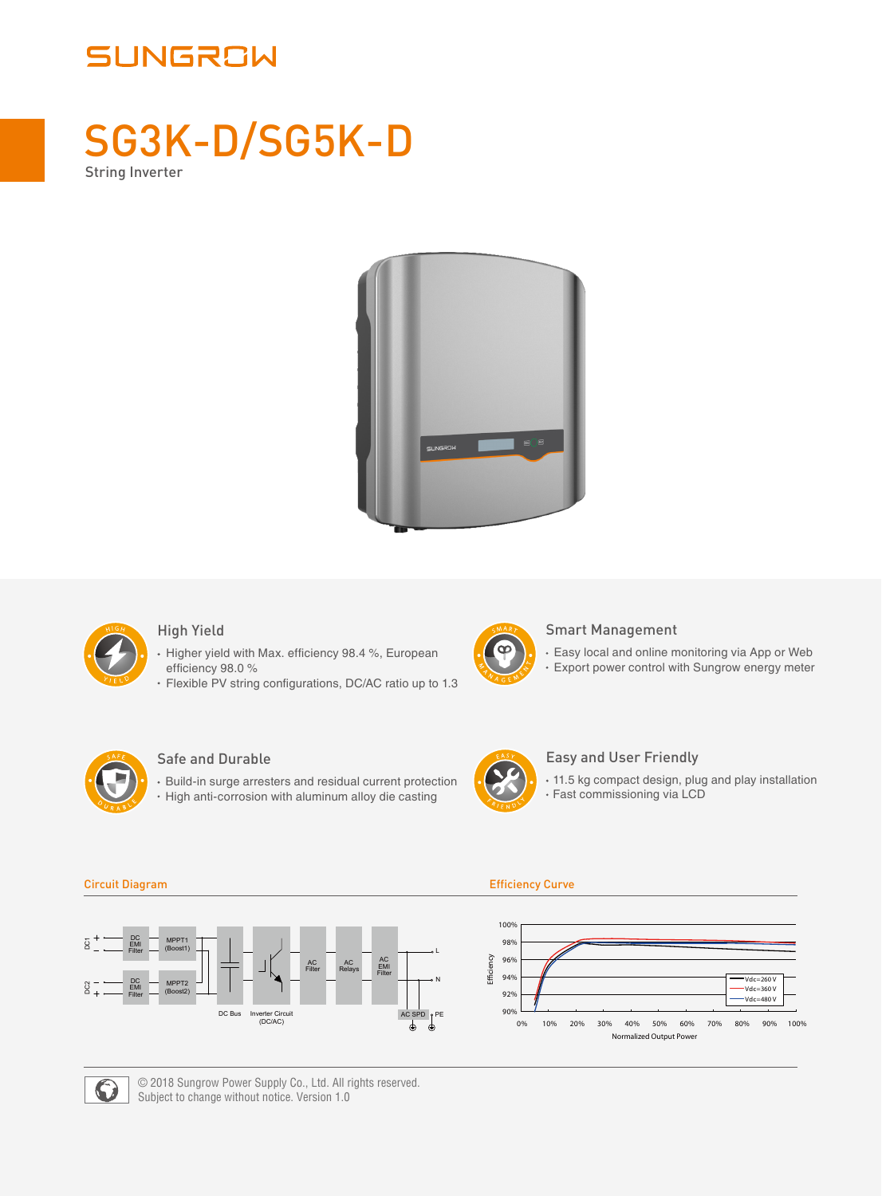# SUNGROW

# SG3K-D/SG5K-D String Inverter





## High Yield

- Higher yield with Max. efficiency 98.4 %, European efficiency 98.0 %
- Flexible PV string configurations, DC/AC ratio up to 1.3



### Smart Management

Easy local and online monitoring via App or Web Export power control with Sungrow energy meter



## Safe and Durable

Build-in surge arresters and residual current protection • High anti-corrosion with aluminum alloy die casting



### Easy and User Friendly

11.5 kg compact design, plug and play installation Fast commissioning via LCD

#### $\overline{8}$ DC MPPT<sup>-</sup> DC2 DC1 EMI (Boost1) Filter L AC EMI Filter AC AC Filter Relays MPPT2 N  $rac{3}{4}$ DC EMI (Boost2) Filter DC Bus Inverter Circuit (DC/AC) AC SPD PE

#### Circuit Diagram Efficiency Curve